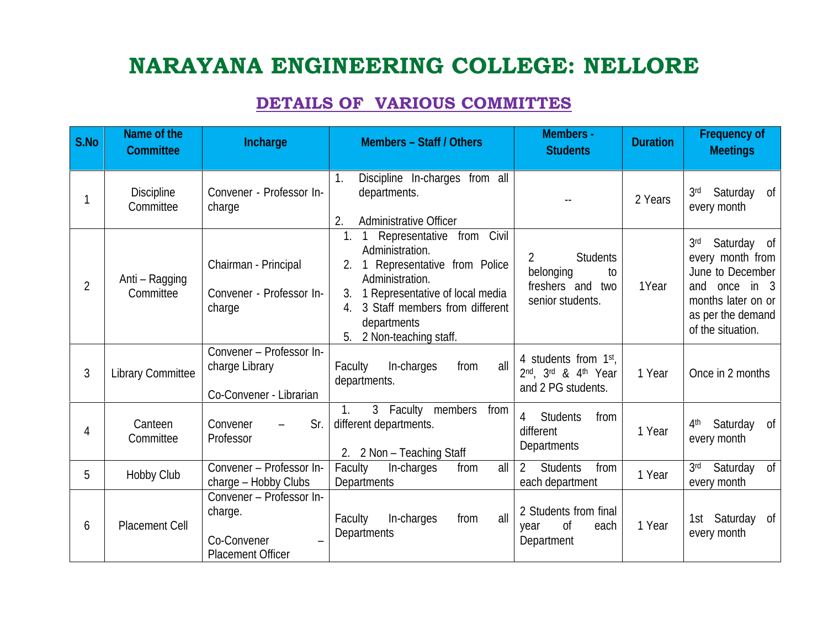## **NARAYANA ENGINEERING COLLEGE: NELLORE**

## **DETAILS OF VARIOUS COMMITTES**

| <b>S.No</b>    | Name of the<br><b>Committee</b> | Incharge                                                                       | <b>Members - Staff / Others</b>                                                                                                                                                                                                                   | <b>Members-</b><br><b>Students</b>                                                           | <b>Duration</b> | <b>Frequency of</b><br><b>Meetings</b>                                                                                                                  |
|----------------|---------------------------------|--------------------------------------------------------------------------------|---------------------------------------------------------------------------------------------------------------------------------------------------------------------------------------------------------------------------------------------------|----------------------------------------------------------------------------------------------|-----------------|---------------------------------------------------------------------------------------------------------------------------------------------------------|
| 1              | Discipline<br>Committee         | Convener - Professor In-<br>charge                                             | Discipline In-charges from all<br>1.<br>departments.<br><b>Administrative Officer</b><br>2.                                                                                                                                                       |                                                                                              | 2 Years         | Saturday of<br>3 <sup>rd</sup><br>every month                                                                                                           |
| 2              | Anti-Ragging<br>Committee       | Chairman - Principal<br>Convener - Professor In-<br>charge                     | Representative from Civil<br>1.<br>$\mathbf{1}$<br>Administration.<br>2. 1 Representative from Police<br>Administration.<br>1 Representative of local media<br>3.<br>3 Staff members from different<br>departments<br>2 Non-teaching staff.<br>5. | <b>Students</b><br>$\overline{2}$<br>belonging<br>to<br>freshers and two<br>senior students. | 1Year           | 3 <sup>rd</sup><br>Saturday of<br>every month from<br>June to December<br>and once in 3<br>months later on or<br>as per the demand<br>of the situation. |
| 3              | <b>Library Committee</b>        | Convener - Professor In-<br>charge Library<br>Co-Convener - Librarian          | all<br>In-charges<br>Faculty<br>from<br>departments.                                                                                                                                                                                              | 4 students from $1st$ ,<br>2nd, 3rd & 4th Year<br>and 2 PG students.                         | 1 Year          | Once in 2 months                                                                                                                                        |
| $\overline{4}$ | Canteen<br>Committee            | Sr.<br>Convener<br>Professor                                                   | 3 Faculty members from<br>1 <sub>1</sub><br>different departments.<br>2. 2 Non - Teaching Staff                                                                                                                                                   | 4 Students<br>from<br>different<br>Departments                                               | 1 Year          | Saturday of<br>4 <sup>th</sup><br>every month                                                                                                           |
| 5              | Hobby Club                      | Convener - Professor In-<br>charge - Hobby Clubs                               | Faculty<br>In-charges<br>all<br>from<br>Departments                                                                                                                                                                                               | <b>Students</b><br>$\overline{2}$<br>from<br>each department                                 | 1 Year          | Saturday of<br>3 <sub>rd</sub><br>every month                                                                                                           |
| 6              | <b>Placement Cell</b>           | Convener - Professor In-<br>charge.<br>Co-Convener<br><b>Placement Officer</b> | all<br>In-charges<br>Faculty<br>from<br>Departments                                                                                                                                                                                               | 2 Students from final<br>of<br>each<br>year<br>Department                                    | 1 Year          | 1st Saturday of<br>every month                                                                                                                          |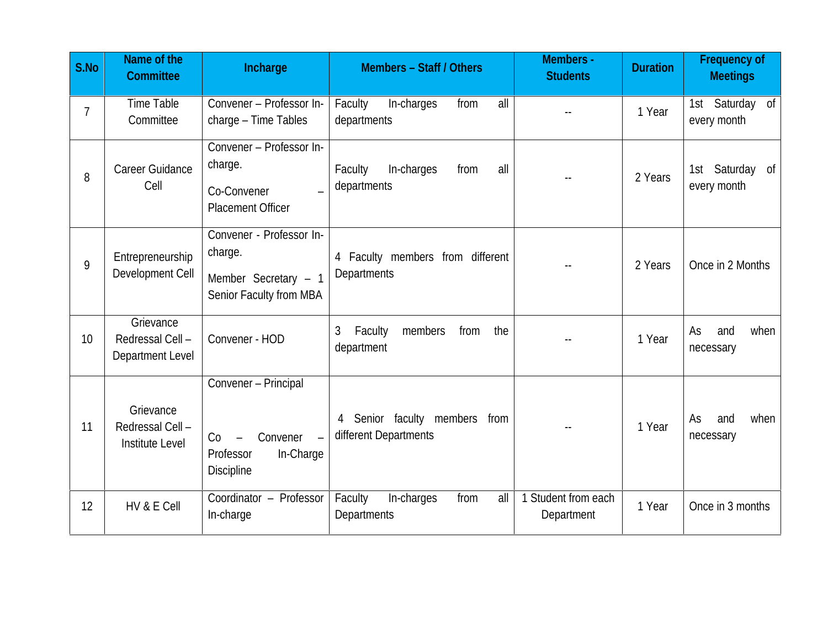| <b>S.No</b> | Name of the<br><b>Committee</b>                        | Incharge                                                                                | <b>Members - Staff / Others</b>                        | <b>Members-</b><br><b>Students</b> | <b>Duration</b> | <b>Frequency of</b><br><b>Meetings</b> |
|-------------|--------------------------------------------------------|-----------------------------------------------------------------------------------------|--------------------------------------------------------|------------------------------------|-----------------|----------------------------------------|
| 7           | <b>Time Table</b><br>Committee                         | Convener - Professor In-<br>charge - Time Tables                                        | Faculty<br>all<br>In-charges<br>from<br>departments    |                                    | 1 Year          | 1st Saturday of<br>every month         |
| 8           | Career Guidance<br>Cell                                | Convener - Professor In-<br>charge.<br>Co-Convener<br><b>Placement Officer</b>          | In-charges<br>Faculty<br>all<br>from<br>departments    |                                    | 2 Years         | Saturday of<br>1st<br>every month      |
| 9           | Entrepreneurship<br>Development Cell                   | Convener - Professor In-<br>charge.<br>Member Secretary $-1$<br>Senior Faculty from MBA | 4 Faculty members from different<br>Departments        |                                    | 2 Years         | Once in 2 Months                       |
| 10          | Grievance<br>Redressal Cell-<br>Department Level       | Convener - HOD                                                                          | 3<br>Faculty<br>members<br>from<br>the<br>department   |                                    | 1 Year          | and<br>when<br>As<br>necessary         |
| 11          | Grievance<br>Redressal Cell-<br><b>Institute Level</b> | Convener - Principal<br>Convener<br>Co<br>Professor<br>In-Charge<br><b>Discipline</b>   | 4 Senior faculty members from<br>different Departments |                                    | 1 Year          | and<br>As<br>when<br>necessary         |
| 12          | HV&E Cell                                              | Coordinator - Professor<br>In-charge                                                    | Faculty<br>In-charges<br>from<br>all<br>Departments    | 1 Student from each<br>Department  | 1 Year          | Once in 3 months                       |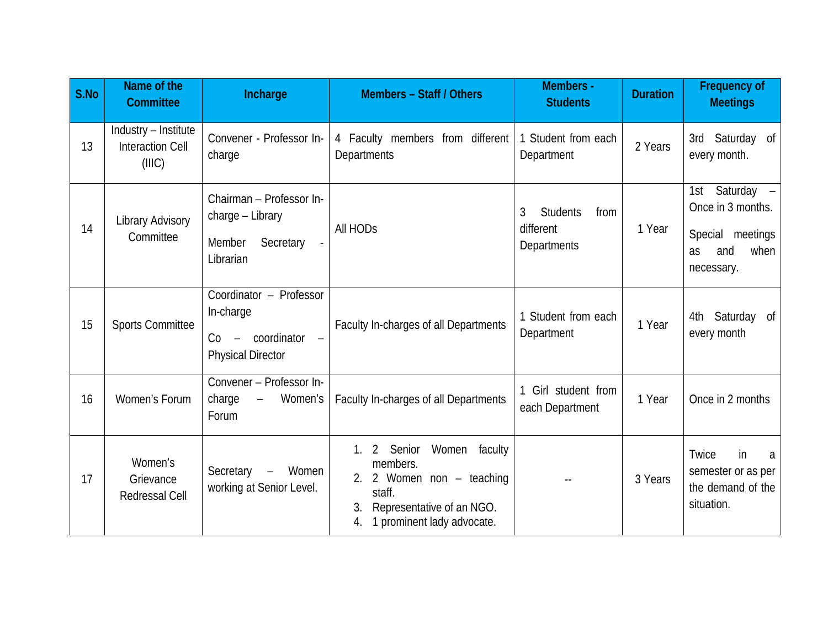| <b>S.No</b> | Name of the<br><b>Committee</b>                           | Incharge                                                                               | Members - Staff / Others                                                                                                                        | <b>Members-</b><br><b>Students</b>                              | <b>Duration</b> | <b>Frequency of</b><br><b>Meetings</b>                                                            |
|-------------|-----------------------------------------------------------|----------------------------------------------------------------------------------------|-------------------------------------------------------------------------------------------------------------------------------------------------|-----------------------------------------------------------------|-----------------|---------------------------------------------------------------------------------------------------|
| 13          | Industry - Institute<br><b>Interaction Cell</b><br>(IIIC) | Convener - Professor In-<br>charge                                                     | 4 Faculty members from different<br>Departments                                                                                                 | 1 Student from each<br>Department                               | 2 Years         | 3rd Saturday of<br>every month.                                                                   |
| 14          | <b>Library Advisory</b><br>Committee                      | Chairman - Professor In-<br>charge - Library<br>Secretary<br>Member<br>Librarian       | All HOD <sub>S</sub>                                                                                                                            | <b>Students</b><br>3<br>from<br>different<br><b>Departments</b> | 1 Year          | 1st Saturday -<br>Once in 3 months.<br>Special meetings<br>and<br>when<br><b>as</b><br>necessary. |
| 15          | <b>Sports Committee</b>                                   | Coordinator - Professor<br>In-charge<br>$Co -$ coordinator<br><b>Physical Director</b> | Faculty In-charges of all Departments                                                                                                           | 1 Student from each<br>Department                               | 1 Year          | 4th Saturday of<br>every month                                                                    |
| 16          | Women's Forum                                             | Convener - Professor In-<br>- Women's<br>charge<br>Forum                               | Faculty In-charges of all Departments                                                                                                           | Girl student from<br>each Department                            | 1 Year          | Once in 2 months                                                                                  |
| 17          | Women's<br>Grievance<br><b>Redressal Cell</b>             | Secretary<br>Women<br>$\overline{\phantom{m}}$<br>working at Senior Level.             | 1. 2 Senior Women faculty<br>members.<br>2. 2 Women non $-$ teaching<br>staff.<br>Representative of an NGO.<br>1 prominent lady advocate.<br>4. |                                                                 | 3 Years         | Twice<br>in<br>a<br>semester or as per<br>the demand of the<br>situation.                         |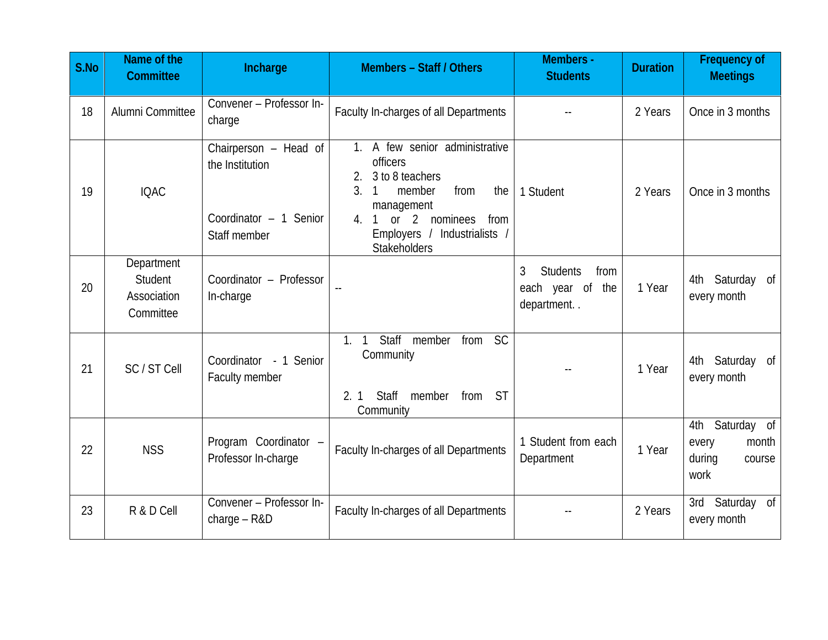| S.No | Name of the<br><b>Committee</b>                   | Incharge                                                                            | <b>Members - Staff / Others</b>                                                                                                                                                                                  | <b>Members-</b><br><b>Students</b>                             | <b>Duration</b> | <b>Frequency of</b><br><b>Meetings</b>                        |
|------|---------------------------------------------------|-------------------------------------------------------------------------------------|------------------------------------------------------------------------------------------------------------------------------------------------------------------------------------------------------------------|----------------------------------------------------------------|-----------------|---------------------------------------------------------------|
| 18   | Alumni Committee                                  | Convener - Professor In-<br>charge                                                  | Faculty In-charges of all Departments                                                                                                                                                                            |                                                                | 2 Years         | Once in 3 months                                              |
| 19   | <b>IQAC</b>                                       | Chairperson - Head of<br>the Institution<br>Coordinator $-1$ Senior<br>Staff member | 1. A few senior administrative<br><b>officers</b><br>3 to 8 teachers<br>2.<br>3.<br>member<br>1<br>from<br>the<br>management<br>1 or 2 nominees from<br>4<br>Employers / Industrialists /<br><b>Stakeholders</b> | 1 Student                                                      | 2 Years         | Once in 3 months                                              |
| 20   | Department<br>Student<br>Association<br>Committee | Coordinator - Professor<br>In-charge                                                |                                                                                                                                                                                                                  | <b>Students</b><br>3<br>from<br>each year of the<br>department | 1 Year          | 4th Saturday of<br>every month                                |
| 21   | SC/STCell                                         | Coordinator - 1 Senior<br>Faculty member                                            | Staff member from<br><sub>SC</sub><br>$\mathbf{1}$ .<br>$\mathbf{1}$<br>Community<br>Staff member<br>2.1<br>from ST<br>Community                                                                                 |                                                                | 1 Year          | 4th Saturday of<br>every month                                |
| 22   | <b>NSS</b>                                        | Program Coordinator -<br>Professor In-charge                                        | Faculty In-charges of all Departments                                                                                                                                                                            | 1 Student from each<br>Department                              | 1 Year          | 4th Saturday of<br>month<br>every<br>during<br>course<br>work |
| 23   | R&DCell                                           | Convener - Professor In-<br>$charge - R&D$                                          | Faculty In-charges of all Departments                                                                                                                                                                            |                                                                | 2 Years         | 3rd Saturday of<br>every month                                |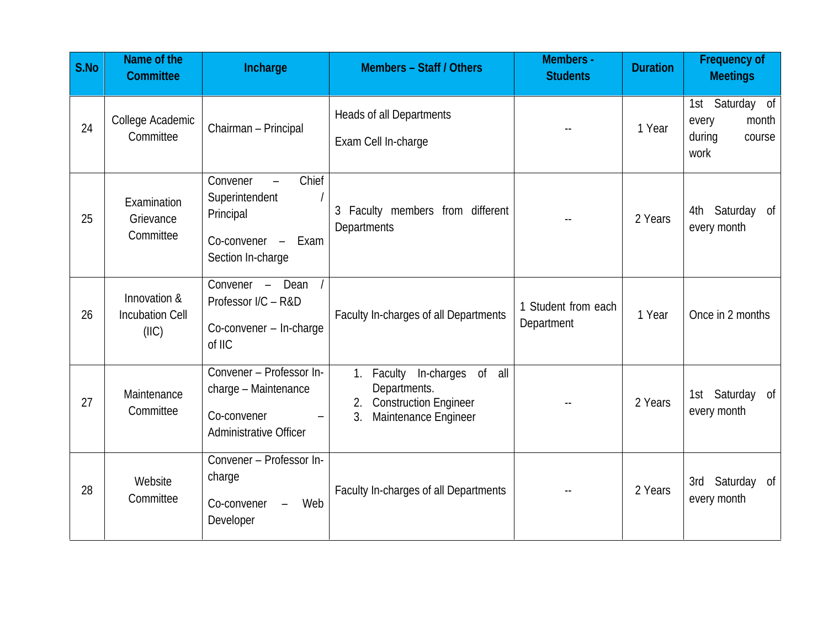| <b>S.No</b> | Name of the<br><b>Committee</b>                 | Incharge                                                                                          | <b>Members - Staff / Others</b>                                                                                    | <b>Members-</b><br><b>Students</b> | <b>Duration</b> | <b>Frequency of</b><br><b>Meetings</b>                        |
|-------------|-------------------------------------------------|---------------------------------------------------------------------------------------------------|--------------------------------------------------------------------------------------------------------------------|------------------------------------|-----------------|---------------------------------------------------------------|
| 24          | College Academic<br>Committee                   | Chairman - Principal                                                                              | <b>Heads of all Departments</b><br>Exam Cell In-charge                                                             |                                    | 1 Year          | 1st Saturday of<br>every<br>month<br>during<br>course<br>work |
| 25          | Examination<br>Grievance<br>Committee           | Chief<br>Convener<br>Superintendent<br>Principal<br>$Co-convener -$<br>Exam<br>Section In-charge  | 3 Faculty members from different<br>Departments                                                                    |                                    | 2 Years         | Saturday of<br>4th<br>every month                             |
| 26          | Innovation &<br><b>Incubation Cell</b><br>(IIC) | Convener $-$ Dean /<br>Professor I/C-R&D<br>Co-convener - In-charge<br>of IIC                     | Faculty In-charges of all Departments                                                                              | 1 Student from each<br>Department  | 1 Year          | Once in 2 months                                              |
| 27          | Maintenance<br>Committee                        | Convener - Professor In-<br>charge - Maintenance<br>Co-convener<br><b>Administrative Officer</b>  | 1. Faculty In-charges of all<br>Departments.<br>2. Construction Engineer<br>3 <sub>l</sub><br>Maintenance Engineer |                                    | 2 Years         | 1st Saturday of<br>every month                                |
| 28          | Website<br>Committee                            | Convener - Professor In-<br>charge<br>Web<br>Co-convener<br>$\overline{\phantom{0}}$<br>Developer | Faculty In-charges of all Departments                                                                              |                                    | 2 Years         | 3rd Saturday of<br>every month                                |